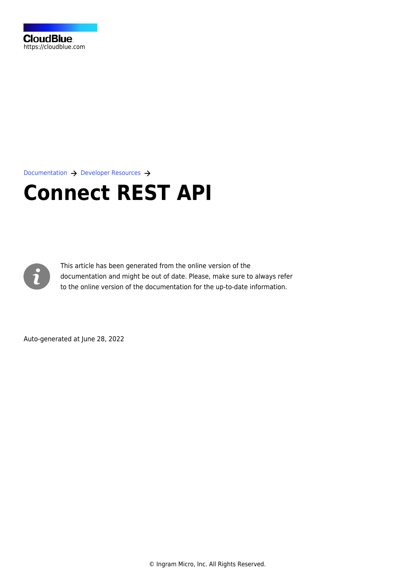

[Documentation](https://connect.cloudblue.com/documentation)  $\rightarrow$  [Developer Resources](https://connect.cloudblue.com/community/developers/)  $\rightarrow$ 

# **[Connect REST API](https://connect.cloudblue.com/community/developers/api/)**



This article has been generated from the online version of the documentation and might be out of date. Please, make sure to always refer to the online version of the documentation for the up-to-date information.

Auto-generated at June 28, 2022